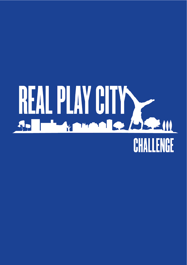## REAL PLAY CITY CHALLENGE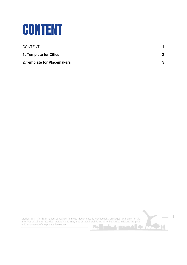<span id="page-1-0"></span>

| CONTENT                     |   |
|-----------------------------|---|
| 1. Template for Cities      | 2 |
| 2. Template for Placemakers | 3 |

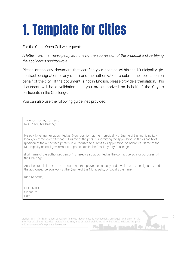## <span id="page-2-0"></span>**1. Template for Cities**

For the Cities Open Call we request:

A letter from the municipality authorizing the submission of the proposal and certifying the applicant's position/role.

Please attach any document that certifies your position within the Municipality. (ie. contract, designation or any other) and the authorization to submit the application on behalf of the city. If the document is not in English, please provide a translation. This document will be a validation that you are authorized on behalf of the City to participate in the Challenge.

You can also use the following quidelines provided:

To whom it may concern, Real Play City Challenge

Hereby, I, (full name), appointed as (your position) at the municipality of (name of the municipality local government) certify that (full name of the person submitting the application) in the capacity of (position of the authorised person) is authorized to submit this application on behalf of (Name of the Municipality or local government) to participate in the Real Play City Challenge.

(Full name of the authorised person) is hereby also appointed as the contact person for purposes of the Challenge.

Attached to this letter are the documents that prove the capacity under which both, the signatory and the authorised person work at the (name of the Municipality or Local Government)

Kind Regards,

**FULL NAME** Signature Date

Disclaimer | The information contained in these documents is confidential, privileged and only for the information of the intended recipient and may not be used, published or redistributed without the prior written consent of the project developers.  $\Omega_{\rm D}$